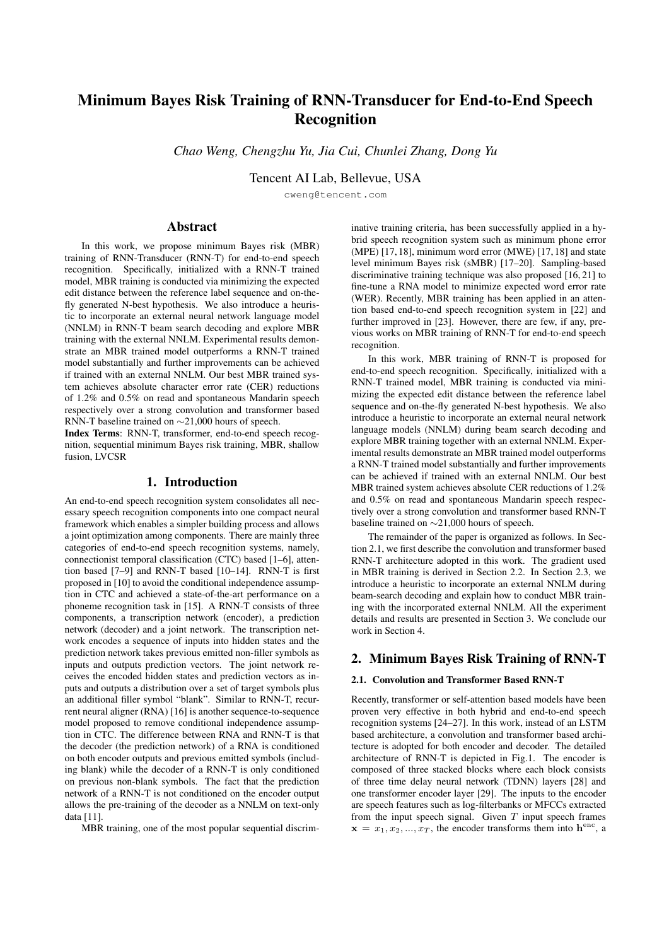# Minimum Bayes Risk Training of RNN-Transducer for End-to-End Speech Recognition

*Chao Weng, Chengzhu Yu, Jia Cui, Chunlei Zhang, Dong Yu*

Tencent AI Lab, Bellevue, USA

cweng@tencent.com

# Abstract

In this work, we propose minimum Bayes risk (MBR) training of RNN-Transducer (RNN-T) for end-to-end speech recognition. Specifically, initialized with a RNN-T trained model, MBR training is conducted via minimizing the expected edit distance between the reference label sequence and on-thefly generated N-best hypothesis. We also introduce a heuristic to incorporate an external neural network language model (NNLM) in RNN-T beam search decoding and explore MBR training with the external NNLM. Experimental results demonstrate an MBR trained model outperforms a RNN-T trained model substantially and further improvements can be achieved if trained with an external NNLM. Our best MBR trained system achieves absolute character error rate (CER) reductions of 1.2% and 0.5% on read and spontaneous Mandarin speech respectively over a strong convolution and transformer based RNN-T baseline trained on ∼21,000 hours of speech.

Index Terms: RNN-T, transformer, end-to-end speech recognition, sequential minimum Bayes risk training, MBR, shallow fusion, LVCSR

# 1. Introduction

An end-to-end speech recognition system consolidates all necessary speech recognition components into one compact neural framework which enables a simpler building process and allows a joint optimization among components. There are mainly three categories of end-to-end speech recognition systems, namely, connectionist temporal classification (CTC) based [1–6], attention based [7–9] and RNN-T based [10–14]. RNN-T is first proposed in [10] to avoid the conditional independence assumption in CTC and achieved a state-of-the-art performance on a phoneme recognition task in [15]. A RNN-T consists of three components, a transcription network (encoder), a prediction network (decoder) and a joint network. The transcription network encodes a sequence of inputs into hidden states and the prediction network takes previous emitted non-filler symbols as inputs and outputs prediction vectors. The joint network receives the encoded hidden states and prediction vectors as inputs and outputs a distribution over a set of target symbols plus an additional filler symbol "blank". Similar to RNN-T, recurrent neural aligner (RNA) [16] is another sequence-to-sequence model proposed to remove conditional independence assumption in CTC. The difference between RNA and RNN-T is that the decoder (the prediction network) of a RNA is conditioned on both encoder outputs and previous emitted symbols (including blank) while the decoder of a RNN-T is only conditioned on previous non-blank symbols. The fact that the prediction network of a RNN-T is not conditioned on the encoder output allows the pre-training of the decoder as a NNLM on text-only data [11].

MBR training, one of the most popular sequential discrim-

inative training criteria, has been successfully applied in a hybrid speech recognition system such as minimum phone error (MPE) [17, 18], minimum word error (MWE) [17, 18] and state level minimum Bayes risk (sMBR) [17–20]. Sampling-based discriminative training technique was also proposed [16, 21] to fine-tune a RNA model to minimize expected word error rate (WER). Recently, MBR training has been applied in an attention based end-to-end speech recognition system in [22] and further improved in [23]. However, there are few, if any, previous works on MBR training of RNN-T for end-to-end speech recognition.

In this work, MBR training of RNN-T is proposed for end-to-end speech recognition. Specifically, initialized with a RNN-T trained model, MBR training is conducted via minimizing the expected edit distance between the reference label sequence and on-the-fly generated N-best hypothesis. We also introduce a heuristic to incorporate an external neural network language models (NNLM) during beam search decoding and explore MBR training together with an external NNLM. Experimental results demonstrate an MBR trained model outperforms a RNN-T trained model substantially and further improvements can be achieved if trained with an external NNLM. Our best MBR trained system achieves absolute CER reductions of 1.2% and 0.5% on read and spontaneous Mandarin speech respectively over a strong convolution and transformer based RNN-T baseline trained on ∼21,000 hours of speech.

The remainder of the paper is organized as follows. In Section 2.1, we first describe the convolution and transformer based RNN-T architecture adopted in this work. The gradient used in MBR training is derived in Section 2.2. In Section 2.3, we introduce a heuristic to incorporate an external NNLM during beam-search decoding and explain how to conduct MBR training with the incorporated external NNLM. All the experiment details and results are presented in Section 3. We conclude our work in Section 4.

# 2. Minimum Bayes Risk Training of RNN-T

#### 2.1. Convolution and Transformer Based RNN-T

Recently, transformer or self-attention based models have been proven very effective in both hybrid and end-to-end speech recognition systems [24–27]. In this work, instead of an LSTM based architecture, a convolution and transformer based architecture is adopted for both encoder and decoder. The detailed architecture of RNN-T is depicted in Fig.1. The encoder is composed of three stacked blocks where each block consists of three time delay neural network (TDNN) layers [28] and one transformer encoder layer [29]. The inputs to the encoder are speech features such as log-filterbanks or MFCCs extracted from the input speech signal. Given  $T$  input speech frames  $\mathbf{x} = x_1, x_2, ..., x_T$ , the encoder transforms them into  $\mathbf{h}^{\text{enc}}$ , a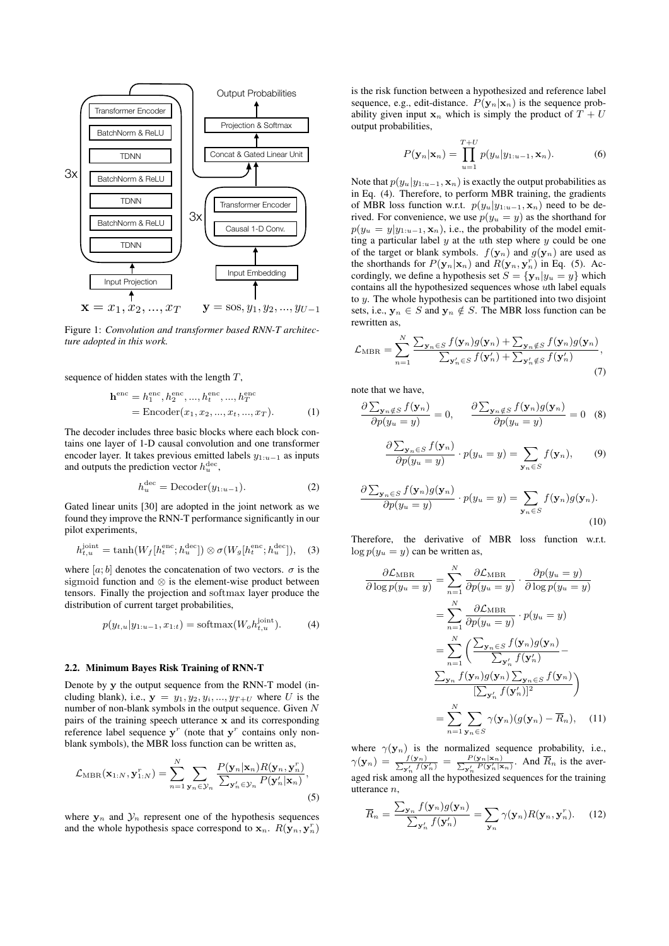

Figure 1: *Convolution and transformer based RNN-T architecture adopted in this work.*

sequence of hidden states with the length  $T$ ,

$$
\mathbf{h}^{\text{enc}} = h_1^{\text{enc}}, h_2^{\text{enc}}, ..., h_t^{\text{enc}}, ..., h_T^{\text{enc}}
$$
  
= Encoder(x<sub>1</sub>, x<sub>2</sub>, ..., x<sub>t</sub>, ..., x<sub>T</sub>). (1)

The decoder includes three basic blocks where each block contains one layer of 1-D causal convolution and one transformer encoder layer. It takes previous emitted labels  $y_{1:u-1}$  as inputs and outputs the prediction vector  $h_u^{\text{dec}}$ ,

$$
h_u^{\text{dec}} = \text{Decoder}(y_{1:u-1}).\tag{2}
$$

Gated linear units [30] are adopted in the joint network as we found they improve the RNN-T performance significantly in our pilot experiments,

$$
h_{t,u}^{\text{joint}} = \tanh(W_f[h_t^{\text{enc}}; h_u^{\text{dec}}]) \otimes \sigma(W_g[h_t^{\text{enc}}; h_u^{\text{dec}}]), \quad (3)
$$

where [a; b] denotes the concatenation of two vectors.  $\sigma$  is the sigmoid function and ⊗ is the element-wise product between tensors. Finally the projection and softmax layer produce the distribution of current target probabilities,

$$
p(y_{t,u}|y_{1:u-1}, x_{1:t}) = \text{softmax}(W_o h_{t,u}^{\text{joint}}). \tag{4}
$$

## 2.2. Minimum Bayes Risk Training of RNN-T

Denote by y the output sequence from the RNN-T model (including blank), i.e.,  $y = y_1, y_2, y_i, \dots, y_{T+U}$  where U is the number of non-blank symbols in the output sequence. Given  $N$ pairs of the training speech utterance x and its corresponding reference label sequence  $y^r$  (note that  $y^r$  contains only nonblank symbols), the MBR loss function can be written as,

$$
\mathcal{L}_{\text{MBR}}(\mathbf{x}_{1:N}, \mathbf{y}_{1:N}^r) = \sum_{n=1}^N \sum_{\mathbf{y}_n \in \mathcal{Y}_n} \frac{P(\mathbf{y}_n | \mathbf{x}_n) R(\mathbf{y}_n, \mathbf{y}_n^r)}{\sum_{\mathbf{y}_n' \in \mathcal{Y}_n} P(\mathbf{y}_n' | \mathbf{x}_n)},
$$
\n(5)

where  $y_n$  and  $\mathcal{Y}_n$  represent one of the hypothesis sequences and the whole hypothesis space correspond to  $x_n$ .  $R(\mathbf{y}_n, \mathbf{y}_n^r)$ 

is the risk function between a hypothesized and reference label sequence, e.g., edit-distance.  $P(\mathbf{y}_n|\mathbf{x}_n)$  is the sequence probability given input  $x_n$  which is simply the product of  $T + U$ output probabilities,

$$
P(\mathbf{y}_n|\mathbf{x}_n) = \prod_{u=1}^{T+U} p(y_u|y_{1:u-1}, \mathbf{x}_n).
$$
 (6)

Note that  $p(y_u|y_{1:u-1}, \mathbf{x}_n)$  is exactly the output probabilities as in Eq. (4). Therefore, to perform MBR training, the gradients of MBR loss function w.r.t.  $p(y_u|y_{1:u-1}, \mathbf{x}_n)$  need to be derived. For convenience, we use  $p(y_u = y)$  as the shorthand for  $p(y_u = y | y_{1:u-1}, \mathbf{x}_n)$ , i.e., the probability of the model emitting a particular label  $y$  at the  $u$ th step where  $y$  could be one of the target or blank symbols.  $f(\mathbf{y}_n)$  and  $g(\mathbf{y}_n)$  are used as the shorthands for  $P(\mathbf{y}_n|\mathbf{x}_n)$  and  $R(\mathbf{y}_n, \mathbf{y}_n^r)$  in Eq. (5). Accordingly, we define a hypothesis set  $S = {\mathbf{y}_n | y_u = y}$  which contains all the hypothesized sequences whose uth label equals to  $y$ . The whole hypothesis can be partitioned into two disjoint sets, i.e.,  $y_n \in S$  and  $y_n \notin S$ . The MBR loss function can be rewritten as,

$$
\mathcal{L}_{\text{MBR}} = \sum_{n=1}^{N} \frac{\sum_{\mathbf{y}_n \in S} f(\mathbf{y}_n) g(\mathbf{y}_n) + \sum_{\mathbf{y}_n \notin S} f(\mathbf{y}_n) g(\mathbf{y}_n)}{\sum_{\mathbf{y}_n' \in S} f(\mathbf{y}_n') + \sum_{\mathbf{y}_n' \notin S} f(\mathbf{y}_n')},\tag{7}
$$

note that we have,

$$
\frac{\partial \sum_{\mathbf{y}_n \notin S} f(\mathbf{y}_n)}{\partial p(y_u = y)} = 0, \qquad \frac{\partial \sum_{\mathbf{y}_n \notin S} f(\mathbf{y}_n) g(\mathbf{y}_n)}{\partial p(y_u = y)} = 0 \quad (8)
$$

$$
\frac{\partial \sum_{\mathbf{y}_n \in S} f(\mathbf{y}_n)}{\partial p(y_u = y)} \cdot p(y_u = y) = \sum_{\mathbf{y}_n \in S} f(\mathbf{y}_n), \qquad (9)
$$

$$
\frac{\partial \sum_{\mathbf{y}_n \in S} f(\mathbf{y}_n) g(\mathbf{y}_n)}{\partial p(y_u = y)} \cdot p(y_u = y) = \sum_{\mathbf{y}_n \in S} f(\mathbf{y}_n) g(\mathbf{y}_n).
$$
\n(10)

Therefore, the derivative of MBR loss function w.r.t.  $\log p(y_u = y)$  can be written as,

$$
\frac{\partial \mathcal{L}_{\text{MBR}}}{\partial \log p(y_u = y)} = \sum_{n=1}^{N} \frac{\partial \mathcal{L}_{\text{MBR}}}{\partial p(y_u = y)} \cdot \frac{\partial p(y_u = y)}{\partial \log p(y_u = y)}
$$

$$
= \sum_{n=1}^{N} \frac{\partial \mathcal{L}_{\text{MBR}}}{\partial p(y_u = y)} \cdot p(y_u = y)
$$

$$
= \sum_{n=1}^{N} \left( \frac{\sum_{\mathbf{y}_n \in S} f(\mathbf{y}_n) g(\mathbf{y}_n)}{\sum_{\mathbf{y}_n} f(\mathbf{y}_n')} - \frac{\sum_{\mathbf{y}_n} f(\mathbf{y}_n) g(\mathbf{y}_n) \sum_{\mathbf{y}_n \in S} f(\mathbf{y}_n)}{[\sum_{\mathbf{y}_n'} f(\mathbf{y}_n')]^2} \right)
$$

$$
= \sum_{n=1}^{N} \sum_{\mathbf{y}_n \in S} \gamma(\mathbf{y}_n) (g(\mathbf{y}_n) - \overline{R}_n), \quad (11)
$$

where  $\gamma(\mathbf{y}_n)$  is the normalized sequence probability, i.e.,  $\gamma(\mathbf{y}_n) = \frac{f(\mathbf{y}_n)}{\sum_{\mathbf{y},\mathbf{y}'} f(\mathbf{y}_n)}$  $\frac{f(\mathbf{y}_n)}{g'_n f(\mathbf{y}'_n)} = \frac{P(\mathbf{y}_n | \mathbf{x}_n)}{\sum_{\mathbf{y}'_n} P(\mathbf{y}'_n | \mathbf{x}_n)}$ . And  $\overline{R}_n$  is the averaged risk among all the hypothesized sequences for the training utterance n,

$$
\overline{R}_n = \frac{\sum_{\mathbf{y}_n} f(\mathbf{y}_n) g(\mathbf{y}_n)}{\sum_{\mathbf{y}_n'} f(\mathbf{y}_n')} = \sum_{\mathbf{y}_n} \gamma(\mathbf{y}_n) R(\mathbf{y}_n, \mathbf{y}_n'). \quad (12)
$$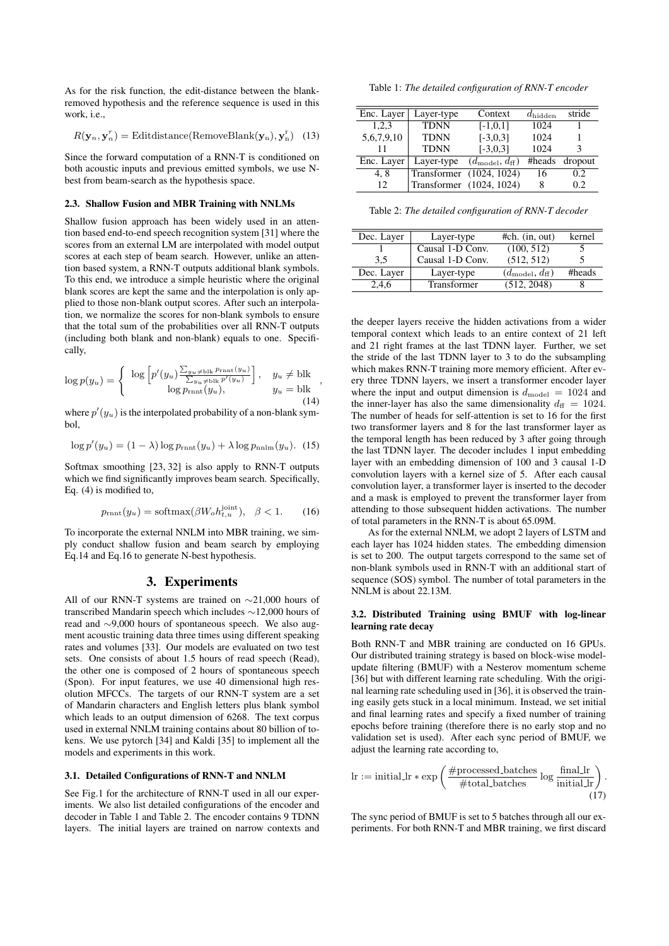As for the risk function, the edit-distance between the blankremoved hypothesis and the reference sequence is used in this work, i.e.,

$$
R(\mathbf{y}_n, \mathbf{y}_n^r) = \text{Editdistance}(\text{RemoveBlank}(\mathbf{y}_n), \mathbf{y}_n^r) \quad (13)
$$

Since the forward computation of a RNN-T is conditioned on both acoustic inputs and previous emitted symbols, we use Nbest from beam-search as the hypothesis space.

#### 2.3. Shallow Fusion and MBR Training with NNLMs

Shallow fusion approach has been widely used in an attention based end-to-end speech recognition system [31] where the scores from an external LM are interpolated with model output scores at each step of beam search. However, unlike an attention based system, a RNN-T outputs additional blank symbols. To this end, we introduce a simple heuristic where the original blank scores are kept the same and the interpolation is only applied to those non-blank output scores. After such an interpolation, we normalize the scores for non-blank symbols to ensure that the total sum of the probabilities over all RNN-T outputs (including both blank and non-blank) equals to one. Specifically,

$$
\log p(y_u) = \begin{cases} \log \left[ p'(y_u) \frac{\sum_{y_u \neq \text{blk}} P_{\text{rnnt}}(y_u)}{\sum_{y_u \neq \text{blk}} P'(y_u)} \right], & y_u \neq \text{blk} \\ \log p_{\text{rnnt}}(y_u), & y_u = \text{blk} \end{cases},
$$
\n(14)

where  $p'(y_u)$  is the interpolated probability of a non-blank symbol,

$$
\log p'(y_u) = (1 - \lambda) \log p_{\text{rnnt}}(y_u) + \lambda \log p_{\text{nnlm}}(y_u). \quad (15)
$$

Softmax smoothing [23, 32] is also apply to RNN-T outputs which we find significantly improves beam search. Specifically, Eq. (4) is modified to,

$$
p_{\text{rnnt}}(y_u) = \text{softmax}(\beta W_o h_{t,u}^{\text{joint}}), \quad \beta < 1. \tag{16}
$$

To incorporate the external NNLM into MBR training, we simply conduct shallow fusion and beam search by employing Eq.14 and Eq.16 to generate N-best hypothesis.

# 3. Experiments

All of our RNN-T systems are trained on ∼21,000 hours of transcribed Mandarin speech which includes ∼12,000 hours of read and ∼9,000 hours of spontaneous speech. We also augment acoustic training data three times using different speaking rates and volumes [33]. Our models are evaluated on two test sets. One consists of about 1.5 hours of read speech (Read), the other one is composed of 2 hours of spontaneous speech (Spon). For input features, we use 40 dimensional high resolution MFCCs. The targets of our RNN-T system are a set of Mandarin characters and English letters plus blank symbol which leads to an output dimension of 6268. The text corpus used in external NNLM training contains about 80 billion of tokens. We use pytorch [34] and Kaldi [35] to implement all the models and experiments in this work.

#### 3.1. Detailed Configurations of RNN-T and NNLM

See Fig.1 for the architecture of RNN-T used in all our experiments. We also list detailed configurations of the encoder and decoder in Table 1 and Table 2. The encoder contains 9 TDNN layers. The initial layers are trained on narrow contexts and

Table 1: *The detailed configuration of RNN-T encoder*

| Enc. Layer | Layer-type  | Context                             | $d_{\rm hidden}$ | stride  |
|------------|-------------|-------------------------------------|------------------|---------|
| 1,2,3      | <b>TDNN</b> | $[-1,0,1]$                          | 1024             |         |
| 5,6,7,9,10 | <b>TDNN</b> | $[-3,0,3]$                          | 1024             |         |
| 11         | <b>TDNN</b> | $[-3,0,3]$                          | 1024             |         |
| Enc. Layer | Layer-type  | $(d_{\text{model}}, d_{\text{ff}})$ | #heads           | dropout |
| 4.8        |             | Transformer (1024, 1024)            | 16               | 0.2     |
| 12         |             | Transformer (1024, 1024)            | 8                | 0.2     |

Table 2: *The detailed configuration of RNN-T decoder*

| Dec. Layer | Layer-type       | $#ch.$ (in, out)                    | kernel |
|------------|------------------|-------------------------------------|--------|
|            | Causal 1-D Conv. | (100, 512)                          |        |
| 3.5        | Causal 1-D Conv. | (512, 512)                          |        |
| Dec. Layer | Layer-type       | $(d_{\text{model}}, d_{\text{ff}})$ | #heads |
| 2.4.6      | Transformer      | (512, 2048)                         |        |

the deeper layers receive the hidden activations from a wider temporal context which leads to an entire context of 21 left and 21 right frames at the last TDNN layer. Further, we set the stride of the last TDNN layer to 3 to do the subsampling which makes RNN-T training more memory efficient. After every three TDNN layers, we insert a transformer encoder layer where the input and output dimension is  $d_{\text{model}} = 1024$  and the inner-layer has also the same dimensionality  $d_{\text{ff}} = 1024$ . The number of heads for self-attention is set to 16 for the first two transformer layers and 8 for the last transformer layer as the temporal length has been reduced by 3 after going through the last TDNN layer. The decoder includes 1 input embedding layer with an embedding dimension of 100 and 3 causal 1-D convolution layers with a kernel size of 5. After each causal convolution layer, a transformer layer is inserted to the decoder and a mask is employed to prevent the transformer layer from attending to those subsequent hidden activations. The number of total parameters in the RNN-T is about 65.09M.

As for the external NNLM, we adopt 2 layers of LSTM and each layer has 1024 hidden states. The embedding dimension is set to 200. The output targets correspond to the same set of non-blank symbols used in RNN-T with an additional start of sequence (SOS) symbol. The number of total parameters in the NNLM is about 22.13M.

#### 3.2. Distributed Training using BMUF with log-linear learning rate decay

Both RNN-T and MBR training are conducted on 16 GPUs. Our distributed training strategy is based on block-wise modelupdate filtering (BMUF) with a Nesterov momentum scheme [36] but with different learning rate scheduling. With the original learning rate scheduling used in [36], it is observed the training easily gets stuck in a local minimum. Instead, we set initial and final learning rates and specify a fixed number of training epochs before training (therefore there is no early stop and no validation set is used). After each sync period of BMUF, we adjust the learning rate according to,

$$
\text{lr} := \text{initial} \cdot \text{exp}\left(\frac{\# \text{processed} \cdot \text{batches}}{\# \text{total} \cdot \text{batches}} \log \frac{\text{final} \cdot \text{lr}}{\text{initial} \cdot \text{lr}}\right). \tag{17}
$$

The sync period of BMUF is set to 5 batches through all our experiments. For both RNN-T and MBR training, we first discard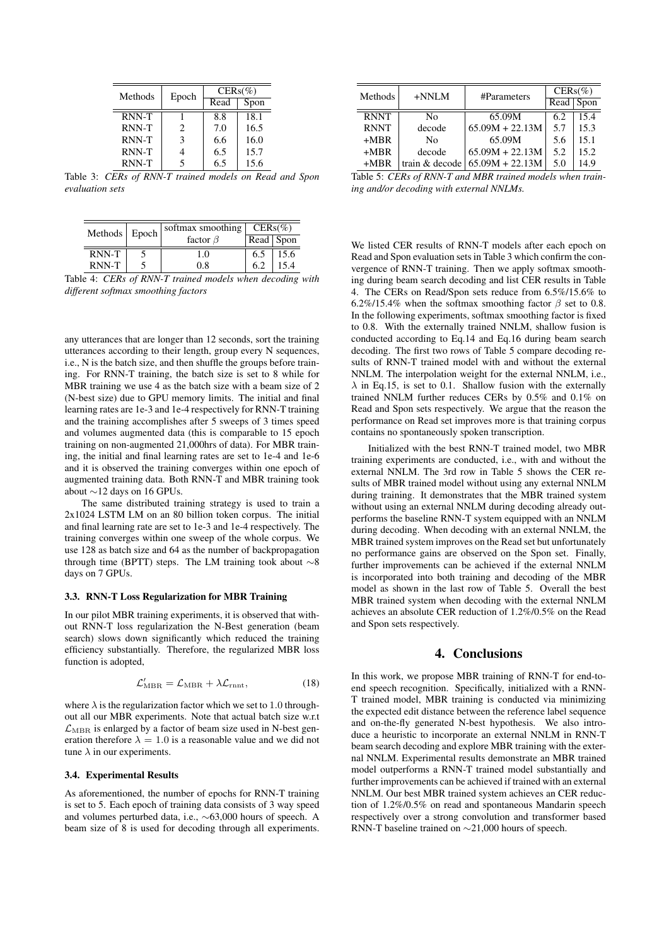| Methods | Epoch                       | $CERS(\%)$ |      |  |
|---------|-----------------------------|------------|------|--|
|         |                             | Read       | Spon |  |
| RNN-T   |                             | 8.8        | 18.1 |  |
| RNN-T   | $\mathcal{D}_{\mathcal{A}}$ | 7.0        | 16.5 |  |
| RNN-T   | 3                           | 6.6        | 16.0 |  |
| RNN-T   |                             | 6.5        | 15.7 |  |
| RNN-T   | 5                           | 6.5        | 15.6 |  |

Table 3: *CERs of RNN-T trained models on Read and Spon evaluation sets*

| Methods Epoch |  | softmax smoothing $CERs(\%)$ |           |      |
|---------------|--|------------------------------|-----------|------|
|               |  | factor $\beta$               | Read Spon |      |
| RNN-T         |  | 1.0                          | 6.5       | 15.6 |
| RNN-T         |  | 08                           | 6.2       | 15.4 |

Table 4: *CERs of RNN-T trained models when decoding with different softmax smoothing factors*

any utterances that are longer than 12 seconds, sort the training utterances according to their length, group every N sequences, i.e., N is the batch size, and then shuffle the groups before training. For RNN-T training, the batch size is set to 8 while for MBR training we use 4 as the batch size with a beam size of 2 (N-best size) due to GPU memory limits. The initial and final learning rates are 1e-3 and 1e-4 respectively for RNN-T training and the training accomplishes after 5 sweeps of 3 times speed and volumes augmented data (this is comparable to 15 epoch training on non-augmented 21,000hrs of data). For MBR training, the initial and final learning rates are set to 1e-4 and 1e-6 and it is observed the training converges within one epoch of augmented training data. Both RNN-T and MBR training took about ∼12 days on 16 GPUs.

The same distributed training strategy is used to train a 2x1024 LSTM LM on an 80 billion token corpus. The initial and final learning rate are set to 1e-3 and 1e-4 respectively. The training converges within one sweep of the whole corpus. We use 128 as batch size and 64 as the number of backpropagation through time (BPTT) steps. The LM training took about  $\sim$ 8 days on 7 GPUs.

## 3.3. RNN-T Loss Regularization for MBR Training

In our pilot MBR training experiments, it is observed that without RNN-T loss regularization the N-Best generation (beam search) slows down significantly which reduced the training efficiency substantially. Therefore, the regularized MBR loss function is adopted,

$$
\mathcal{L}'_{\text{MBR}} = \mathcal{L}_{\text{MBR}} + \lambda \mathcal{L}_{\text{rntt}},\tag{18}
$$

where  $\lambda$  is the regularization factor which we set to 1.0 throughout all our MBR experiments. Note that actual batch size w.r.t  $\mathcal{L}_{\text{MBR}}$  is enlarged by a factor of beam size used in N-best generation therefore  $\lambda = 1.0$  is a reasonable value and we did not tune  $\lambda$  in our experiments.

#### 3.4. Experimental Results

As aforementioned, the number of epochs for RNN-T training is set to 5. Each epoch of training data consists of 3 way speed and volumes perturbed data, i.e., ∼63,000 hours of speech. A beam size of 8 is used for decoding through all experiments.

| Methods     | $+NNLM$        | #Parameters       | $CERS(\%)$ |      |
|-------------|----------------|-------------------|------------|------|
|             |                |                   | Read       | Spon |
| <b>RNNT</b> | No             | 65.09M            | 6.2        | 15.4 |
| <b>RNNT</b> | decode         | $65.09M + 22.13M$ | 5.7        | 15.3 |
| $+MBR$      | Nο             | 65.09M            | 5.6        | 15.1 |
| $+MBR$      | decode         | $65.09M + 22.13M$ | 5.2        | 15.2 |
| $+MRR$      | train & decode | $65.09M + 22.13M$ | 5.0        | 14.9 |

Table 5: *CERs of RNN-T and MBR trained models when training and/or decoding with external NNLMs.*

We listed CER results of RNN-T models after each epoch on Read and Spon evaluation sets in Table 3 which confirm the convergence of RNN-T training. Then we apply softmax smoothing during beam search decoding and list CER results in Table 4. The CERs on Read/Spon sets reduce from 6.5%/15.6% to 6.2%/15.4% when the softmax smoothing factor  $\beta$  set to 0.8. In the following experiments, softmax smoothing factor is fixed to 0.8. With the externally trained NNLM, shallow fusion is conducted according to Eq.14 and Eq.16 during beam search decoding. The first two rows of Table 5 compare decoding results of RNN-T trained model with and without the external NNLM. The interpolation weight for the external NNLM, i.e.,  $\lambda$  in Eq.15, is set to 0.1. Shallow fusion with the externally trained NNLM further reduces CERs by 0.5% and 0.1% on Read and Spon sets respectively. We argue that the reason the performance on Read set improves more is that training corpus contains no spontaneously spoken transcription.

Initialized with the best RNN-T trained model, two MBR training experiments are conducted, i.e., with and without the external NNLM. The 3rd row in Table 5 shows the CER results of MBR trained model without using any external NNLM during training. It demonstrates that the MBR trained system without using an external NNLM during decoding already outperforms the baseline RNN-T system equipped with an NNLM during decoding. When decoding with an external NNLM, the MBR trained system improves on the Read set but unfortunately no performance gains are observed on the Spon set. Finally, further improvements can be achieved if the external NNLM is incorporated into both training and decoding of the MBR model as shown in the last row of Table 5. Overall the best MBR trained system when decoding with the external NNLM achieves an absolute CER reduction of 1.2%/0.5% on the Read and Spon sets respectively.

# 4. Conclusions

In this work, we propose MBR training of RNN-T for end-toend speech recognition. Specifically, initialized with a RNN-T trained model, MBR training is conducted via minimizing the expected edit distance between the reference label sequence and on-the-fly generated N-best hypothesis. We also introduce a heuristic to incorporate an external NNLM in RNN-T beam search decoding and explore MBR training with the external NNLM. Experimental results demonstrate an MBR trained model outperforms a RNN-T trained model substantially and further improvements can be achieved if trained with an external NNLM. Our best MBR trained system achieves an CER reduction of 1.2%/0.5% on read and spontaneous Mandarin speech respectively over a strong convolution and transformer based RNN-T baseline trained on ∼21,000 hours of speech.